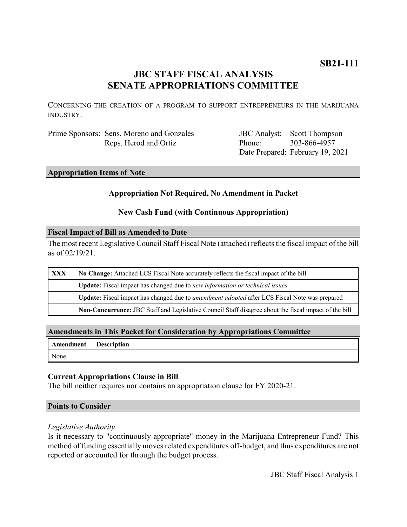## **JBC STAFF FISCAL ANALYSIS SENATE APPROPRIATIONS COMMITTEE**

CONCERNING THE CREATION OF A PROGRAM TO SUPPORT ENTREPRENEURS IN THE MARIJUANA INDUSTRY.

Prime Sponsors: Sens. Moreno and Gonzales Reps. Herod and Ortiz

JBC Analyst: Scott Thompson Phone: Date Prepared: February 19, 2021 303-866-4957

#### **Appropriation Items of Note**

#### **Appropriation Not Required, No Amendment in Packet**

#### **New Cash Fund (with Continuous Appropriation)**

#### **Fiscal Impact of Bill as Amended to Date**

The most recent Legislative Council Staff Fiscal Note (attached) reflects the fiscal impact of the bill as of 02/19/21.

| XXX | No Change: Attached LCS Fiscal Note accurately reflects the fiscal impact of the bill                 |
|-----|-------------------------------------------------------------------------------------------------------|
|     | Update: Fiscal impact has changed due to new information or technical issues                          |
|     | Update: Fiscal impact has changed due to <i>amendment adopted</i> after LCS Fiscal Note was prepared  |
|     | Non-Concurrence: JBC Staff and Legislative Council Staff disagree about the fiscal impact of the bill |

#### **Amendments in This Packet for Consideration by Appropriations Committee**

|       | <b>Amendment Description</b> |
|-------|------------------------------|
| None. |                              |

#### **Current Appropriations Clause in Bill**

The bill neither requires nor contains an appropriation clause for FY 2020-21.

#### **Points to Consider**

#### *Legislative Authority*

Is it necessary to "continuously appropriate" money in the Marijuana Entrepreneur Fund? This method of funding essentially moves related expenditures off-budget, and thus expenditures are not reported or accounted for through the budget process.